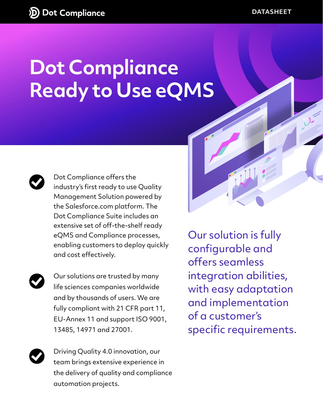## **Dot Compliance Ready to Use eQMS**



Dot Compliance offers the industry's first ready to use Quality Management Solution powered by the Salesforce.com platform. The Dot Compliance Suite includes an extensive set of off-the-shelf ready eQMS and Compliance processes, enabling customers to deploy quickly and cost effectively.



Our solutions are trusted by many life sciences companies worldwide and by thousands of users. We are fully compliant with 21 CFR part 11, EU-Annex 11 and support ISO 9001, 13485, 14971 and 27001.

Driving Quality 4.0 innovation, our team brings extensive experience in the delivery of quality and compliance automation projects.

Our solution is fully configurable and offers seamless integration abilities, with easy adaptation and implementation of a customer's specific requirements.